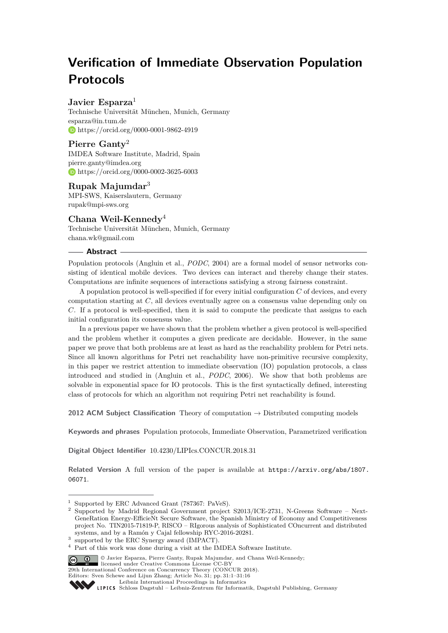# **Verification of Immediate Observation Population Protocols**

## **Javier Esparza**<sup>1</sup>

Technische Universität München, Munich, Germany [esparza@in.tum.de](mailto:esparza@in.tum.de) <https://orcid.org/0000-0001-9862-4919>

**Pierre Ganty**<sup>2</sup> IMDEA Software Institute, Madrid, Spain [pierre.ganty@imdea.org](mailto:pierre.ganty@imdea.org) <https://orcid.org/0000-0002-3625-6003>

## **Rupak Majumdar**<sup>3</sup>

MPI-SWS, Kaiserslautern, Germany [rupak@mpi-sws.org](mailto:rupak@mpi-sws.org)

## **Chana Weil-Kennedy**<sup>4</sup>

Technische Universität München, Munich, Germany [chana.wk@gmail.com](mailto:chana.wk@gmail.com)

#### **Abstract**

Population protocols (Angluin et al., *PODC*, 2004) are a formal model of sensor networks consisting of identical mobile devices. Two devices can interact and thereby change their states. Computations are infinite sequences of interactions satisfying a strong fairness constraint.

A population protocol is well-specified if for every initial configuration *C* of devices, and every computation starting at *C*, all devices eventually agree on a consensus value depending only on *C*. If a protocol is well-specified, then it is said to compute the predicate that assigns to each initial configuration its consensus value.

In a previous paper we have shown that the problem whether a given protocol is well-specified and the problem whether it computes a given predicate are decidable. However, in the same paper we prove that both problems are at least as hard as the reachability problem for Petri nets. Since all known algorithms for Petri net reachability have non-primitive recursive complexity, in this paper we restrict attention to immediate observation (IO) population protocols, a class introduced and studied in (Angluin et al., *PODC*, 2006). We show that both problems are solvable in exponential space for IO protocols. This is the first syntactically defined, interesting class of protocols for which an algorithm not requiring Petri net reachability is found.

**2012 ACM Subject Classification** Theory of computation → Distributed computing models

**Keywords and phrases** Population protocols, Immediate Observation, Parametrized verification

**Digital Object Identifier** [10.4230/LIPIcs.CONCUR.2018.31](http://dx.doi.org/10.4230/LIPIcs.CONCUR.2018.31)

**Related Version** A full version of the paper is available at [https://arxiv.org/abs/1807.](https://arxiv.org/abs/1807.06071) [06071](https://arxiv.org/abs/1807.06071).

 $^{\rm 1}$  Supported by ERC Advanced Grant (787367: PaVeS).

<sup>2</sup> Supported by Madrid Regional Government project S2013/ICE-2731, N-Greens Software – Next-GeneRation Energy-EfficieNt Secure Software, the Spanish Ministry of Economy and Competitiveness project No. TIN2015-71819-P, RISCO – RIgorous analysis of Sophisticated COncurrent and distributed systems, and by a Ramón y Cajal fellowship RYC-2016-20281.

<sup>&</sup>lt;sup>3</sup> supported by the ERC Synergy award (IMPACT).

<sup>4</sup> Part of this work was done during a visit at the IMDEA Software Institute.

<sup>©</sup> Javier Esparza, Pierre Ganty, Rupak Majumdar, and Chana Weil-Kennedy;

**<sup>29</sup>th International Conference on Concurrency Theory (CONCUR 2018).** 

Editors: Sven Schewe and Lijun Zhang; Article No. 31; pp. 31:1–31[:16](#page-15-0)

[Leibniz International Proceedings in Informatics](http://www.dagstuhl.de/lipics/)

Leibniz international ruse einigs in missimosischen Publishing, Germany<br>LIPICS [Schloss Dagstuhl – Leibniz-Zentrum für Informatik, Dagstuhl Publishing, Germany](http://www.dagstuhl.de)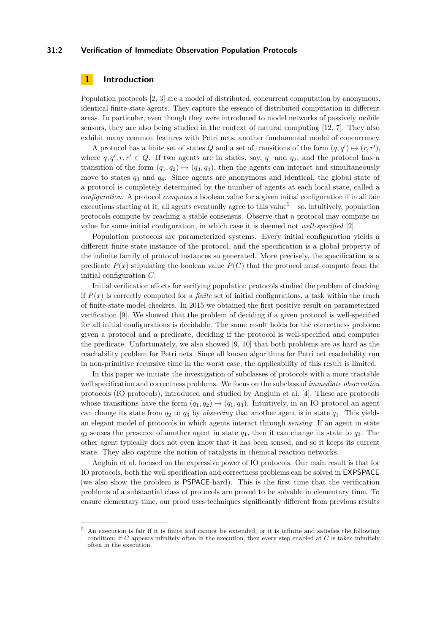### **31:2 Verification of Immediate Observation Population Protocols**

## **1 Introduction**

Population protocols [\[2,](#page-15-1) [3\]](#page-15-2) are a model of distributed, concurrent computation by anonymous, identical finite-state agents. They capture the essence of distributed computation in different areas. In particular, even though they were introduced to model networks of passively mobile sensors, they are also being studied in the context of natural computing [\[12,](#page-15-3) [7\]](#page-15-4). They also exhibit many common features with Petri nets, another fundamental model of concurrency.

A protocol has a finite set of states Q and a set of transitions of the form  $(q, q') \mapsto (r, r')$ , where  $q, q', r, r' \in Q$ . If two agents are in states, say,  $q_1$  and  $q_2$ , and the protocol has a transition of the form  $(q_1, q_2) \mapsto (q_3, q_4)$ , then the agents can interact and simultaneously move to states *q*<sup>3</sup> and *q*4. Since agents are anonymous and identical, the global state of a protocol is completely determined by the number of agents at each local state, called a *configuration*. A protocol *computes* a boolean value for a given initial configuration if in all fair executions starting at it, all agents eventually agree to this value<sup>[5](#page-1-0)</sup> – so, intuitively, population protocols compute by reaching a stable consensus. Observe that a protocol may compute no value for some initial configuration, in which case it is deemed not *well-specified* [\[2\]](#page-15-1).

Population protocols are parameterized systems. Every initial configuration yields a different finite-state instance of the protocol, and the specification is a global property of the infinite family of protocol instances so generated. More precisely, the specification is a predicate  $P(x)$  stipulating the boolean value  $P(C)$  that the protocol must compute from the initial configuration *C*.

Initial verification efforts for verifying population protocols studied the problem of checking if  $P(x)$  is correctly computed for a *finite* set of initial configurations, a task within the reach of finite-state model checkers. In 2015 we obtained the first positive result on parameterized verification [\[9\]](#page-15-5). We showed that the problem of deciding if a given protocol is well-specified for all initial configurations is decidable. The same result holds for the correctness problem: given a protocol and a predicate, deciding if the protocol is well-specified and computes the predicate. Unfortunately, we also showed [\[9,](#page-15-5) [10\]](#page-15-6) that both problems are as hard as the reachability problem for Petri nets. Since all known algorithms for Petri net reachability run in non-primitive recursive time in the worst case, the applicability of this result is limited.

In this paper we initiate the investigation of subclasses of protocols with a more tractable well specification and correctness problems. We focus on the subclass of *immediate observation* protocols (IO protocols), introduced and studied by Angluin et al. [\[4\]](#page-15-7). These are protocols whose transitions have the form  $(q_1, q_2) \mapsto (q_1, q_3)$ . Intuitively, in an IO protocol an agent can change its state from  $q_2$  to  $q_3$  by *observing* that another agent is in state  $q_1$ . This yields an elegant model of protocols in which agents interact through *sensing*: If an agent in state  $q_2$  senses the presence of another agent in state  $q_1$ , then it can change its state to  $q_3$ . The other agent typically does not even know that it has been sensed, and so it keeps its current state. They also capture the notion of catalysts in chemical reaction networks.

Angluin et al. focused on the expressive power of IO protocols. Our main result is that for IO protocols, both the well specification and correctness problems can be solved in EXPSPACE (we also show the problem is PSPACE-hard). This is the first time that the verification problems of a substantial class of protocols are proved to be solvable in elementary time. To ensure elementary time, our proof uses techniques significantly different from previous results

<span id="page-1-0"></span><sup>5</sup> An execution is fair if it is finite and cannot be extended, or it is infinite and satisfies the following condition: if *C* appears infinitely often in the execution, then every step enabled at *C* is taken infinitely often in the execution.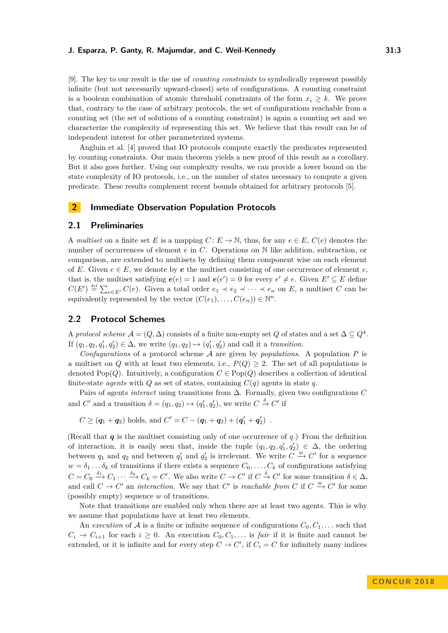[\[9\]](#page-15-5). The key to our result is the use of *counting constraints* to symbolically represent possibly infinite (but not necessarily upward-closed) sets of configurations. A counting constraint is a boolean combination of atomic threshold constraints of the form  $x_i \geq k$ . We prove that, contrary to the case of arbitrary protocols, the set of configurations reachable from a counting set (the set of solutions of a counting constraint) is again a counting set and we characterize the complexity of representing this set. We believe that this result can be of independent interest for other parameterized systems.

Angluin et al. [\[4\]](#page-15-7) proved that IO protocols compute exactly the predicates represented by counting constraints. Our main theorem yields a new proof of this result as a corollary. But it also goes further. Using our complexity results, we can provide a lower bound on the state complexity of IO protocols, i.e., on the number of states necessary to compute a given predicate. These results complement recent bounds obtained for arbitrary protocols [\[5\]](#page-15-8).

## **2 Immediate Observation Population Protocols**

## **2.1 Preliminaries**

A *multiset* on a finite set *E* is a mapping  $C: E \to \mathbb{N}$ , thus, for any  $e \in E$ ,  $C(e)$  denotes the number of occurrences of element *e* in *C*. Operations on N like addition, subtraction, or comparison, are extended to multisets by defining them component wise on each element of *E*. Given  $e \in E$ , we denote by *e* the multiset consisting of one occurrence of element *e*, that is, the multiset satisfying  $e(e) = 1$  and  $e(e') = 0$  for every  $e' \neq e$ . Given  $E' \subseteq E$  define  $C(E') \stackrel{\text{def}}{=} \sum_{e \in E'} C(e)$ . Given a total order  $e_1 \prec e_2 \prec \cdots \prec e_n$  on *E*, a multiset *C* can be equivalently represented by the vector  $(C(e_1), \ldots, C(e_n)) \in \mathbb{N}^n$ .

## **2.2 Protocol Schemes**

A *protocol scheme*  $\mathcal{A} = (Q, \Delta)$  consists of a finite non-empty set  $Q$  of states and a set  $\Delta \subseteq Q^4$ . If  $(q_1, q_2, q'_1, q'_2) \in \Delta$ , we write  $(q_1, q_2) \mapsto (q'_1, q'_2)$  and call it a *transition*.

*Confugurations* of a protocol scheme A are given by *populations*. A population *P* is a multiset on *Q* with at least two elements, i.e.,  $P(Q) \geq 2$ . The set of all populations is denoted Pop $(Q)$ . Intuitively, a configuration  $C \in Pop(Q)$  describes a collection of identical finite-state *agents* with *Q* as set of states, containing  $C(q)$  agents in state *q*.

Pairs of agents *interact* using transitions from ∆. Formally, given two configurations *C* and *C'* and a transition  $\delta = (q_1, q_2) \mapsto (q'_1, q'_2)$ , we write  $C \stackrel{\delta}{\rightarrow} C'$  if

 $C \geq (q_1 + q_2)$  holds, and  $C' = C - (q_1 + q_2) + (q'_1 + q'_2)$ .

(Recall that  $q$  is the multiset consisting only of one occurrence of  $q$ .) From the definition of interaction, it is easily seen that, inside the tuple  $(q_1, q_2, q'_1, q'_2) \in \Delta$ , the ordering between  $q_1$  and  $q_2$  and between  $q'_1$  and  $q'_2$  is irrelevant. We write  $C \stackrel{w}{\rightarrow} C'$  for a sequence  $w = \delta_1 \dots \delta_k$  of transitions if there exists a sequence  $C_0, \dots, C_k$  of configurations satisfying  $C = C_0 \xrightarrow{\delta_1} C_1 \cdots \xrightarrow{\delta_k} C_k = C'$ . We also write  $C \to C'$  if  $C \xrightarrow{\delta} C'$  for some transition  $\delta \in \Delta$ , and call  $C \to C'$  an *interaction*. We say that  $C'$  is *reachable from*  $C$  if  $C \stackrel{w}{\to} C'$  for some (possibly empty) sequence *w* of transitions.

Note that transitions are enabled only when there are at least two agents. This is why we assume that populations have at least two elements.

An *execution* of A is a finite or infinite sequence of configurations  $C_0, C_1, \ldots$  such that  $C_i \rightarrow C_{i+1}$  for each  $i \geq 0$ . An execution  $C_0, C_1, \ldots$  is *fair* if it is finite and cannot be extended, or it is infinite and for every step  $C \to C'$ , if  $C_i = C$  for infinitely many indices

**CON C U R 2 0 1 8**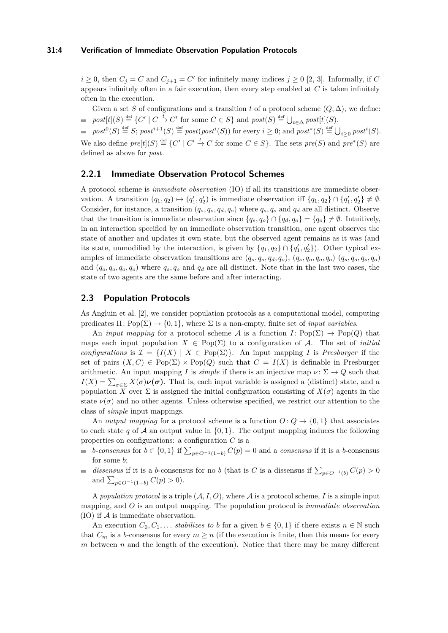#### **31:4 Verification of Immediate Observation Population Protocols**

 $i \geq 0$ , then  $C_j = C$  and  $C_{j+1} = C'$  for infinitely many indices  $j \geq 0$  [\[2,](#page-15-1) [3\]](#page-15-2). Informally, if *C* appears infinitely often in a fair execution, then every step enabled at *C* is taken infinitely often in the execution.

Given a set *S* of configurations and a transition *t* of a protocol scheme  $(Q, \Delta)$ , we define:  $post[t](S) \stackrel{\text{def}}{=} \{C' \mid C \stackrel{t}{\to} C' \text{ for some } C \in S\} \text{ and } post(S) \stackrel{\text{def}}{=} \bigcup_{t \in \Delta} post[t](S).$ 

 $post^0(S) \stackrel{\text{def}}{=} S$ ;  $post^{i+1}(S) \stackrel{\text{def}}{=} postpost(S)$  for every  $i \geq 0$ ; and  $post^*(S) \stackrel{\text{def}}{=} \bigcup_{i \geq 0} post^i(S)$ . We also define  $pre[t](S) \stackrel{\text{def}}{=} \{C' \mid C' \stackrel{t}{\to} C \text{ for some } C \in S\}$ . The sets  $pre(S)$  and  $pre^*(S)$  are defined as above for *post*.

## **2.2.1 Immediate Observation Protocol Schemes**

A protocol scheme is *immediate observation* (IO) if all its transitions are immediate observation. A transition  $(q_1, q_2) \mapsto (q'_1, q'_2)$  is immediate observation iff  $\{q_1, q_2\} \cap \{q'_1, q'_2\} \neq \emptyset$ . Consider, for instance, a transition  $(q_s, q_o, q_d, q_o)$  where  $q_s, q_o$  and  $q_d$  are all distinct. Observe that the transition is immediate observation since  $\{q_s, q_o\} \cap \{q_d, q_o\} = \{q_o\} \neq \emptyset$ . Intuitively, in an interaction specified by an immediate observation transition, one agent observes the state of another and updates it own state, but the observed agent remains as it was (and its state, unmodified by the interaction, is given by  $\{q_1, q_2\} \cap \{q'_1, q'_2\}$ . Other typical examples of immediate observation transitions are  $(q_o, q_o, q_d, q_o)$ ,  $(q_s, q_o, q_o, q_o)$   $(q_s, q_o, q_s, q_o)$ and  $(q_o, q_o, q_o)$  where  $q_s, q_o$  and  $q_d$  are all distinct. Note that in the last two cases, the state of two agents are the same before and after interacting.

## **2.3 Population Protocols**

As Angluin et al. [\[2\]](#page-15-1), we consider population protocols as a computational model, computing predicates  $\Pi: Pop(\Sigma) \to \{0,1\}$ , where  $\Sigma$  is a non-empty, finite set of *input variables*.

An *input mapping* for a protocol scheme A is a function  $I: Pop(\Sigma) \rightarrow Pop(Q)$  that maps each input population  $X \in Pop(\Sigma)$  to a configuration of A. The set of *initial configurations* is  $\mathcal{I} = \{I(X) | X \in \text{Pop}(\Sigma)\}\$ . An input mapping *I* is *Presburger* if the set of pairs  $(X, C) \in \text{Pop}(\Sigma) \times \text{Pop}(Q)$  such that  $C = I(X)$  is definable in Presburger arithmetic. An input mapping *I* is *simple* if there is an injective map  $\nu : \Sigma \to Q$  such that  $I(X) = \sum_{\sigma \in \Sigma} X(\sigma) \nu(\sigma)$ . That is, each input variable is assigned a (distinct) state, and a population *X* over  $\Sigma$  is assigned the initial configuration consisting of  $X(\sigma)$  agents in the state  $\nu(\sigma)$  and no other agents. Unless otherwise specified, we restrict our attention to the class of *simple* input mappings.

An *output mapping* for a protocol scheme is a function  $O: Q \rightarrow \{0, 1\}$  that associates to each state *q* of A an output value in  $\{0, 1\}$ . The output mapping induces the following properties on configurations: a configuration *C* is a

- *b*-consensus for  $b \in \{0, 1\}$  if  $\sum_{p \in O^{-1}(1-b)} C(p) = 0$  and a consensus if it is a *b*-consensus for some *b*;
- dissensus if it is a *b*-consensus for no *b* (that is *C* is a dissensus if  $\sum_{p \in O^{-1}(b)} C(p) > 0$  $\mathcal{L}_{\mathcal{A}}$ and  $\sum_{p \in O^{-1}(1-b)} C(p) > 0$ .

A *population protocol* is a triple  $(A, I, O)$ , where A is a protocol scheme, I is a simple input mapping, and *O* is an output mapping. The population protocol is *immediate observation*  $(IO)$  if  $A$  is immediate observation.

An execution  $C_0, C_1, \ldots$  *stabilizes to b* for a given  $b \in \{0, 1\}$  if there exists  $n \in \mathbb{N}$  such that  $C_m$  is a *b*-consensus for every  $m \geq n$  (if the execution is finite, then this means for every  $m$  between  $n$  and the length of the execution). Notice that there may be many different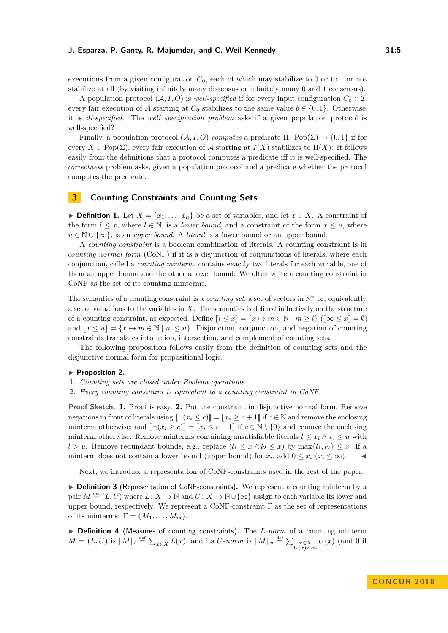executions from a given configuration  $C_0$ , each of which may stabilize to 0 or to 1 or not stabilize at all (by visiting infinitely many dissensus or infinitely many 0 and 1 consensus).

A population protocol  $(A, I, O)$  is *well-specified* if for every input configuration  $C_0 \in \mathcal{I}$ . every fair execution of A starting at  $C_0$  stabilizes to the same value  $b \in \{0, 1\}$ . Otherwise, it is *ill-specified*. The *well specification problem* asks if a given population protocol is well-specified?

Finally, a population protocol  $(A, I, O)$  *computes* a predicate  $\Pi$ : Pop $(\Sigma) \rightarrow \{0, 1\}$  if for every  $X \in \text{Pop}(\Sigma)$ , every fair execution of A starting at  $I(X)$  stabilizes to  $\Pi(X)$ . It follows easily from the definitions that a protocol computes a predicate iff it is well-specified. The *correctness* problem asks, given a population protocol and a predicate whether the protocol computes the predicate.

## **3 Counting Constraints and Counting Sets**

▶ **Definition 1.** Let  $X = \{x_1, \ldots, x_n\}$  be a set of variables, and let  $x \in X$ . A constraint of the form  $l \leq x$ , where  $l \in \mathbb{N}$ , is a *lower bound*, and a constraint of the form  $x \leq u$ , where  $u \in \mathbb{N} \cup \{\infty\}$ , is an *upper bound*. A *literal* is a lower bound or an upper bound.

A *counting constraint* is a boolean combination of literals. A counting constraint is in *counting normal form* (CoNF) if it is a disjunction of conjunctions of literals, where each conjunction, called a *counting minterm*, contains exactly two literals for each variable, one of them an upper bound and the other a lower bound. We often write a counting constraint in CoNF as the set of its counting minterms.

The semantics of a counting constraint is a *counting set*, a set of vectors in  $\mathbb{N}^n$  or, equivalently, a set of valuations to the variables in *X*. The semantics is defined inductively on the structure of a counting constraint, as expected. Define  $\llbracket l \leq x \rrbracket = \{x \mapsto m \in \mathbb{N} \mid m \geq l\}$  ( $\llbracket \infty \leq x \rrbracket = \emptyset$ ) and  $\llbracket x \leq u \rrbracket = \{x \mapsto m \in \mathbb{N} \mid m \leq u\}$ . Disjunction, conjunction, and negation of counting constraints translates into union, intersection, and complement of counting sets.

The following proposition follows easily from the definition of counting sets and the disjunctive normal form for propositional logic.

#### <span id="page-4-0"></span>▶ Proposition 2.

- **1.** *Counting sets are closed under Boolean operations.*
- **2.** *Every counting constraint is equivalent to a counting constraint in CoNF.*

**Proof Sketch. 1.** Proof is easy. **2.** Put the constraint in disjunctive normal form. Remove negations in front of literals using  $\lceil \neg(x_i \leq c) \rceil = \lceil x_i \geq c + 1 \rceil$  if  $c \in \mathbb{N}$  and remove the enclosing minterm otherwise; and  $\lbrack \lbrack \neg(x_i \geq c) \rbrack \rbrack = \lbrack \lbrack x_i \leq c-1 \rbrack \rbrack$  if  $c \in \mathbb{N} \setminus \{0\}$  and remove the enclosing minterm otherwise. Remove minterms containing unsatisfiable literals  $l \leq x_i \wedge x_i \leq u$  with *l > u*. Remove redundant bounds, e.g., replace  $(l_1 \leq x \land l_2 \leq x)$  by  $\max\{l_1, l_2\} \leq x$ . If a minterm does not contain a lower bound (upper bound) for  $x_i$ , add  $0 \le x_i$  ( $x_i \le \infty$ ).

Next, we introduce a representation of CoNF-constraints used in the rest of the paper.

▶ Definition 3 (Representation of CoNF-constraints). We represent a counting minterm by a pair  $M \stackrel{\text{def}}{=} (L, U)$  where  $L: X \to \mathbb{N}$  and  $U: X \to \mathbb{N} \cup \{\infty\}$  assign to each variable its lower and upper bound, respectively. We represent a CoNF-constraint  $\Gamma$  as the set of representations of its minterms:  $\Gamma = \{M_1, \ldots, M_m\}.$ 

▶ Definition 4 (Measures of counting constraints). The *L-norm* of a counting minterm  $M = (L, U)$  is  $||M||_l \stackrel{\text{def}}{=} \sum_{x \in X} L(x)$ , and its *U*-norm is  $||M||_u \stackrel{\text{def}}{=} \sum_{\substack{x \in X \\ U(x) < \infty}} U(x)$  (and 0 if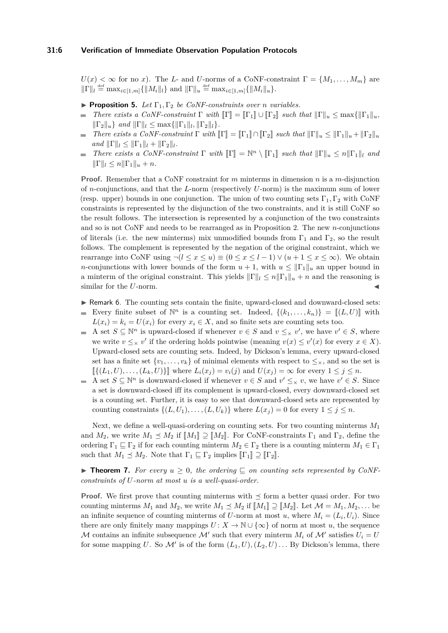$U(x) < \infty$  for no *x*). The *L*- and *U*-norms of a CoNF-constraint  $\Gamma = \{M_1, \ldots, M_m\}$  are  $\|\Gamma\|_l \stackrel{\text{def}}{=} \max_{i \in [1,m]} \{\|M_i\|_l\} \text{ and } \|\Gamma\|_u \stackrel{\text{def}}{=} \max_{i \in [1,m]} \{\|M_i\|_u\}.$ 

- <span id="page-5-2"></span>**Proposition 5.** *Let*  $\Gamma_1, \Gamma_2$  *be CoNF-constraints over n variables.*
- *There exists a CoNF-constraint*  $\Gamma$  *with*  $\llbracket \Gamma \rrbracket = \llbracket \Gamma_1 \rrbracket \cup \llbracket \Gamma_2 \rrbracket$  *such that*  $\llbracket \Gamma \rrbracket_u \leq \max \{ \llbracket \Gamma_1 \rrbracket_u,$  $\|\Gamma_2\|_u$  *and*  $\|\Gamma\|_l \leq \max\{\|\Gamma_1\|_l, \|\Gamma_2\|_l\}.$
- *There exists a CoNF-constraint*  $\Gamma$  *with*  $\|\Gamma\| = \|\Gamma_1\| \cap \|\Gamma_2\|$  *such that*  $\|\Gamma\|_u \le \|\Gamma_1\|_u + \|\Gamma_2\|_u$  $and \|\Gamma\|_l \leq \|\Gamma_1\|_l + \|\Gamma_2\|_l.$
- *There exists a CoNF-constraint*  $\Gamma$  *with*  $\llbracket \Gamma \rrbracket = \mathbb{N}^n \setminus \llbracket \Gamma_1 \rrbracket$  *such that*  $\llbracket \Gamma \rrbracket_u \leq n \llbracket \Gamma_1 \rrbracket_l$  *and*  $\blacksquare$  $\|\Gamma\|_l \leq n \|\Gamma_1\|_u + n.$

**Proof.** Remember that a CoNF constraint for *m* minterms in dimension *n* is a *m*-disjunction of *n*-conjunctions, and that the *L*-norm (respectively *U*-norm) is the maximum sum of lower (resp. upper) bounds in one conjunction. The union of two counting sets  $\Gamma_1, \Gamma_2$  with CoNF constraints is represented by the disjunction of the two constraints, and it is still CoNF so the result follows. The intersection is represented by a conjunction of the two constraints and so is not CoNF and needs to be rearranged as in Proposition [2.](#page-4-0) The new *n*-conjunctions of literals (i.e. the new minterms) mix unmodified bounds from  $\Gamma_1$  and  $\Gamma_2$ , so the result follows. The complement is represented by the negation of the original constraint, which we rearrange into CoNF using  $\neg (l \leq x \leq u) \equiv (0 \leq x \leq l-1) \vee (u+1 \leq x \leq \infty)$ . We obtain *n*-conjunctions with lower bounds of the form  $u + 1$ , with  $u \leq ||\Gamma_1||_u$  an upper bound in a minterm of the original constraint. This yields  $||\Gamma||_l \leq n||\Gamma_1||_u + n$  and the reasoning is similar for the *U*-norm.

- <span id="page-5-1"></span>▶ Remark 6. The counting sets contain the finite, upward-closed and downward-closed sets: Every finite subset of  $\mathbb{N}^n$  is a counting set. Indeed,  $\{(k_1,\ldots,k_n)\} = [[(L,U)]]$  with  $\sim$
- $L(x_i) = k_i = U(x_i)$  for every  $x_i \in X$ , and so finite sets are counting sets too.
- A set  $S \subseteq \mathbb{N}^n$  is upward-closed if whenever  $v \in S$  and  $v \leq_X v'$ , we have  $v' \in S$ , where m. we write  $v \leq_{\times} v'$  if the ordering holds pointwise (meaning  $v(x) \leq v'(x)$  for every  $x \in X$ ). Upward-closed sets are counting sets. Indeed, by Dickson's lemma, every upward-closed set has a finite set  $\{v_1, \ldots, v_k\}$  of minimal elements with respect to  $\leq_{\times}$ , and so the set is  $\mathbb{I}\{(L_1, U), \ldots, (L_k, U)\}\$  where  $L_i(x_j) = v_i(j)$  and  $U(x_j) = \infty$  for every  $1 \leq j \leq n$ .
- A set  $S \subseteq \mathbb{N}^n$  is downward-closed if whenever  $v \in S$  and  $v' \leq_{\times} v$ , we have  $v' \in S$ . Since a set is downward-closed iff its complement is upward-closed, every downward-closed set is a counting set. Further, it is easy to see that downward-closed sets are represented by counting constraints  $\{(L, U_1), \ldots, (L, U_k)\}\$  where  $L(x_j) = 0$  for every  $1 \leq j \leq n$ .

Next, we define a well-quasi-ordering on counting sets. For two counting minterms *M*<sup>1</sup> and  $M_2$ , we write  $M_1 \preceq M_2$  if  $\llbracket M_1 \rrbracket \supseteq \llbracket M_2 \rrbracket$ . For CoNF-constraints  $\Gamma_1$  and  $\Gamma_2$ , define the ordering  $\Gamma_1 \sqsubseteq \Gamma_2$  if for each counting minterm  $M_2 \in \Gamma_2$  there is a counting minterm  $M_1 \in \Gamma_1$ such that  $M_1 \preceq M_2$ . Note that  $\Gamma_1 \sqsubseteq \Gamma_2$  implies  $[\![\Gamma_1]\!] \supseteq [\![\Gamma_2]\!]$ .

<span id="page-5-0"></span>**Find Theorem 7.** For every  $u \geq 0$ , the ordering  $\subseteq$  on counting sets represented by CoNF*constraints of U-norm at most u is a well-quasi-order.*

**Proof.** We first prove that counting minterms with  $\leq$  form a better quasi order. For two counting minterms  $M_1$  and  $M_2$ , we write  $M_1 \preceq M_2$  if  $\llbracket M_1 \rrbracket \supseteq \llbracket M_2 \rrbracket$ . Let  $\mathcal{M} = M_1, M_2, \ldots$  be an infinite sequence of counting minterms of *U*-norm at most *u*, where  $M_i = (L_i, U_i)$ . Since there are only finitely many mappings  $U: X \to \mathbb{N} \cup \{\infty\}$  of norm at most *u*, the sequence M contains an infinite subsequence M' such that every minterm  $M_i$  of M' satisfies  $U_i = U$ for some mapping U. So  $\mathcal{M}'$  is of the form  $(L_1, U), (L_2, U) \dots$  By Dickson's lemma, there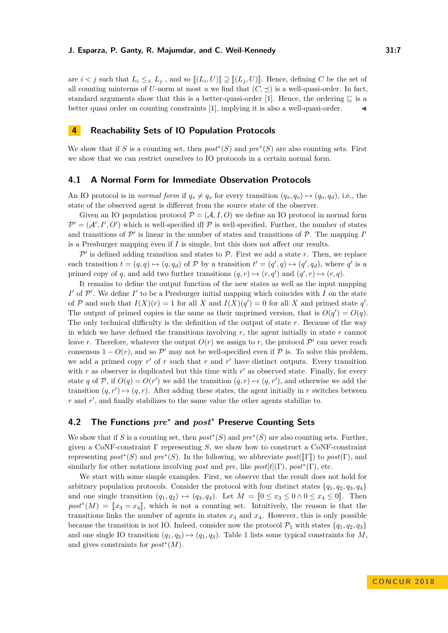are  $i < j$  such that  $L_i \leq \chi L_j$ , and so  $[[(L_i, U)]] \supseteq [[(L_j, U)]]$ . Hence, defining *C* be the set of all counting minterms of *U*-norm at most *u* we find that  $(C, \preceq)$  is a well-quasi-order. In fact, standard arguments show that this is a better-quasi-order [\[1\]](#page-15-9). Hence, the ordering  $\Box$  is a better quasi order on counting constraints [\[1\]](#page-15-9), implying it is also a well-quasi-order. J

## **4 Reachability Sets of IO Population Protocols**

We show that if *S* is a counting set, then  $post^*(S)$  and  $pre^*(S)$  are also counting sets. First we show that we can restrict ourselves to IO protocols in a certain normal form.

## **4.1 A Normal Form for Immediate Observation Protocols**

An IO protocol is in *normal form* if  $q_s \neq q_o$  for every transition  $(q_s, q_o) \mapsto (q_o, q_d)$ , i.e., the state of the observed agent is different from the source state of the observer.

Given an IO population protocol  $\mathcal{P} = (\mathcal{A}, I, O)$  we define an IO protocol in normal form  $\mathcal{P}' = (\mathcal{A}', I', O')$  which is well-specified iff  $\mathcal P$  is well-specified. Further, the number of states and transitions of  $\mathcal{P}'$  is linear in the number of states and transitions of  $\mathcal{P}$ . The mapping  $I'$ is a Presburger mapping even if *I* is simple, but this does not affect our results.

 $\mathcal{P}'$  is defined adding transition and states to  $\mathcal{P}$ . First we add a state  $r$ . Then, we replace each transition  $t = (q, q) \mapsto (q, q_d)$  of P by a transition  $t' = (q', q) \mapsto (q', q_d)$ , where  $q'$  is a primed copy of *q*, and add two further transitions  $(q, r) \mapsto (r, q')$  and  $(q', r) \mapsto (r, q)$ .

It remains to define the output function of the new states as well as the input mapping  $I'$  of  $\mathcal{P}'$ . We define  $I'$  to be a Presburger initial mapping which coincides with  $I$  on the state of P and such that  $I(X)(r) = 1$  for all X and  $I(X)(q') = 0$  for all X and primed state q'. The output of primed copies is the same as their unprimed version, that is  $O(q') = O(q)$ . The only technical difficulty is the definition of the output of state *r*. Because of the way in which we have defined the transitions involving *r*, the agent initially in state *r* cannot leave *r*. Therefore, whatever the output  $O(r)$  we assign to *r*, the protocol  $P'$  can never reach consensus  $1 - O(r)$ , and so  $\mathcal{P}'$  may not be well-specified even if  $\mathcal P$  is. To solve this problem, we add a primed copy  $r'$  of  $r$  such that  $r$  and  $r'$  have distinct outputs. Every transition with  $r$  as observer is duplicated but this time with  $r'$  as observed state. Finally, for every state *q* of P, if  $O(q) = O(r')$  we add the transition  $(q, r) \mapsto (q, r')$ , and otherwise we add the transition  $(q, r') \mapsto (q, r)$ . After adding these states, the agent initially in *r* switches between *r* and *r'*, and finally stabilizes to the same value the other agents stabilize to.

## **4.2 The Functions** *pre***<sup>∗</sup> and** *post***<sup>∗</sup> Preserve Counting Sets**

We show that if *S* is a counting set, then  $post^*(S)$  and  $pre^*(S)$  are also counting sets. Further, given a CoNF-constraint  $\Gamma$  representing *S*, we show how to construct a CoNF-constraint representing  $post*(S)$  and  $pre*(S)$ . In the following, we abbreviate  $post([\Gamma])$  to  $post(\Gamma)$ , and<br>rivilegle for the postations including neat and number  $cost(\Gamma)$ , and\*(Γ) at similarly for other notations involving *post* and *pre*, like  $post[t](\Gamma)$ ,  $post^*(\Gamma)$ , etc.

We start with some simple examples. First, we observe that the result does not hold for arbitrary population protocols. Consider the protocol with four distinct states  $\{q_1, q_2, q_3, q_4\}$ and one single transition  $(q_1, q_2) \mapsto (q_3, q_4)$ . Let  $M = [0 \le x_3 \le 0 \land 0 \le x_4 \le 0]$ . Then  $post^*(M) = [x_3 = x_4]$ , which is not a counting set. Intuitively, the reason is that the transitions links the number of exacts in states  $x_1$  and  $x_2$ . However, this is only negather transitions links the number of agents in states  $x_3$  and  $x_4$ . However, this is only possible because the transition is not IO. Indeed, consider now the protocol  $\mathcal{P}_1$  with states  $\{q_1, q_2, q_3\}$ and one single IO transition  $(q_1, q_2) \mapsto (q_1, q_3)$ . Table [1](#page-7-0) lists some typical constraints for *M*, and gives constraints for *post*<sup>∗</sup> (*M*).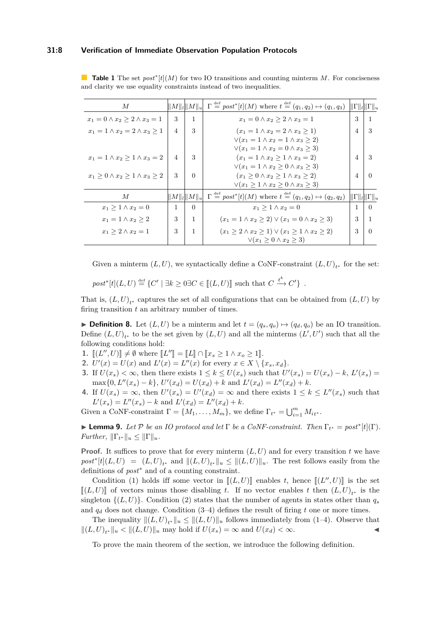### **31:8 Verification of Immediate Observation Population Protocols**

<span id="page-7-0"></span>**Table 1** The set  $post*[t](M)$  for two IO transitions and counting minterm *M*. For conciseness and clarity we use equality constraints instead of two inequalities.

| М                                                |                |          | $   M  _l   M  _u  \Gamma \stackrel{\text{def}}{=} post^* t (M)$ where $t \stackrel{\text{def}}{=} (q_1, q_2) \mapsto (q_1, q_3)    \Gamma  _l   \Gamma  _u$ |                |                             |
|--------------------------------------------------|----------------|----------|--------------------------------------------------------------------------------------------------------------------------------------------------------------|----------------|-----------------------------|
| $x_1 = 0 \wedge x_2 \geq 2 \wedge x_3 = 1$       | 3              | 1        | $x_1 = 0 \wedge x_2 \geq 2 \wedge x_3 = 1$                                                                                                                   | 3              | 1                           |
| $x_1 = 1 \wedge x_2 = 2 \wedge x_3 > 1$          | $\overline{4}$ | 3        | $(x_1 = 1 \wedge x_2 = 2 \wedge x_3 > 1)$                                                                                                                    | $\overline{4}$ | 3                           |
|                                                  |                |          | $\sqrt{x_1} = 1 \wedge x_2 = 1 \wedge x_3 \geq 2$                                                                                                            |                |                             |
|                                                  |                |          | $\sqrt{x_1} = 1 \wedge x_2 = 0 \wedge x_3 > 3$                                                                                                               |                |                             |
| $x_1 = 1 \wedge x_2 > 1 \wedge x_3 = 2$          | $\overline{4}$ | 3        | $(x_1 = 1 \wedge x_2 \ge 1 \wedge x_3 = 2)$                                                                                                                  | $\overline{4}$ | 3                           |
|                                                  |                |          | $\forall (x_1 = 1 \land x_2 \geq 0 \land x_3 \geq 3)$                                                                                                        |                |                             |
| $x_1 \geq 0 \wedge x_2 \geq 1 \wedge x_3 \geq 2$ | 3              | $\Omega$ | $(x_1 > 0 \wedge x_2 > 1 \wedge x_3 > 2)$                                                                                                                    | $\overline{4}$ | $\Omega$                    |
|                                                  |                |          | $\vee (x_1 > 1 \wedge x_2 > 0 \wedge x_3 > 3)$                                                                                                               |                |                             |
| $\overline{M}$                                   |                |          | $\ M\ _l \ M\ _u \  \Gamma \stackrel{\text{def}}{=} \text{post}^*[t](M)$ where $t \stackrel{\text{def}}{=} (q_1, q_2) \mapsto (q_2, q_2)$                    |                | $\ \Gamma\ _l \ \Gamma\ _u$ |
| $x_1 > 1 \wedge x_2 = 0$                         | 1              | $\Omega$ | $x_1 > 1 \wedge x_2 = 0$                                                                                                                                     | 1              | $\Omega$                    |
| $x_1 = 1 \wedge x_2 \geq 2$                      | 3              | 1        | $(x_1 = 1 \wedge x_2 \geq 2) \vee (x_1 = 0 \wedge x_2 \geq 3)$                                                                                               | 3              | 1                           |
| $x_1 > 2 \wedge x_2 = 1$                         | 3              | 1        | $(x_1 \geq 2 \land x_2 \geq 1) \lor (x_1 \geq 1 \land x_2 \geq 2)$                                                                                           | 3              | $\Omega$                    |
|                                                  |                |          | $\vee (x_1 \geq 0 \wedge x_2 \geq 3)$                                                                                                                        |                |                             |

Given a minterm  $(L, U)$ , we syntactically define a CoNF-constraint  $(L, U)_{t^*}$  for the set:

 $post^*[t](L, U) \stackrel{\text{def}}{=} \{C' | \exists k \ge 0 \exists C \in [[(L, U)]] \text{ such that } C \stackrel{t^k}{\to} C' \} .$ 

That is,  $(L, U)_{t^*}$  captures the set of all configurations that can be obtained from  $(L, U)$  by firing transition *t* an arbitrary number of times.

<span id="page-7-2"></span>**Definition 8.** Let  $(L, U)$  be a minterm and let  $t = (q_s, q_o) \mapsto (q_d, q_o)$  be an IO transition. Define  $(L, U)_{t^*}$  to be the set given by  $(L, U)$  and all the minterms  $(L', U')$  such that all the following conditions hold:

- **1.**  $[[(L'', U)]] \neq \emptyset$  where  $[[L'']] = [[L]] \cap [[x_s \geq 1 \land x_o \geq 1]].$ <br> **2.**  $U(a)$ ,  $U(a)$  and  $U(a)$ ,  $U(a)$  for order  $x \in V \setminus \{1\}$ .
- **2.**  $U'(x) = U(x)$  and  $L'(x) = L''(x)$  for every  $x \in X \setminus \{x_s, x_d\}.$
- **3.** If  $U(x_s) < \infty$ , then there exists  $1 \leq k \leq U(x_s)$  such that  $U'(x_s) = U(x_s) k$ ,  $L'(x_s) =$  $\max\{0, L''(x_s) - k\}, U'(x_d) = U(x_d) + k$  and  $L'(x_d) = L''(x_d) + k$ .
- **4.** If  $U(x_s) = \infty$ , then  $U'(x_s) = U'(x_d) = \infty$  and there exists  $1 \leq k \leq L''(x_s)$  such that  $L'(x_s) = L''(x_s) - k$  and  $L'(x_d) = L''(x_d) + k$ .

Given a CoNF-constraint  $\Gamma = \{M_1, \ldots, M_m\}$ , we define  $\Gamma_{t^*} = \bigcup_{i=1}^m M_{it^*}$ .

<span id="page-7-1"></span>**Example 10.** *Let*  $\mathcal{P}$  *be an IO protocol and let*  $\Gamma$  *be a CoNF-constraint. Then*  $\Gamma_{t^*} = post^*[t](\Gamma)$ *. Further,*  $\|\Gamma_{t^*}\|_u \leq \|\Gamma\|_u$ .

**Proof.** It suffices to prove that for every minterm  $(L, U)$  and for every transition  $t$  we have  $post^*[t](L, U) = (L, U)_{t^*}$  and  $||(L, U)_{t^*}||_u \leq ||(L, U)||_u$ . The rest follows easily from the definitions of *post*<sup>∗</sup> and of a counting constraint.

Condition (1) holds iff some vector in  $[(L, U)]$  enables *t*, hence  $[(L'', U)]$  is the set  $[(L, U)]$  of vectors minus those disabling *t*. If no vector enables *t* then  $(L, U)_{t^*}$  is the singleton  $\{(L, U)\}\$ . Condition (2) states that the number of agents in states other than  $q_s$ and  $q_d$  does not change. Condition  $(3-4)$  defines the result of firing *t* one or more times.

The inequality  $||(L, U)_{t^*}||_u \leq ||(L, U)||_u$  follows immediately from (1–4). Observe that  $||(L, U)<sub>t*</sub>||<sub>u</sub> < ||(L, U)||<sub>u</sub>$  may hold if  $U(x_s) = \infty$  and  $U(x_d) < \infty$ .

To prove the main theorem of the section, we introduce the following definition.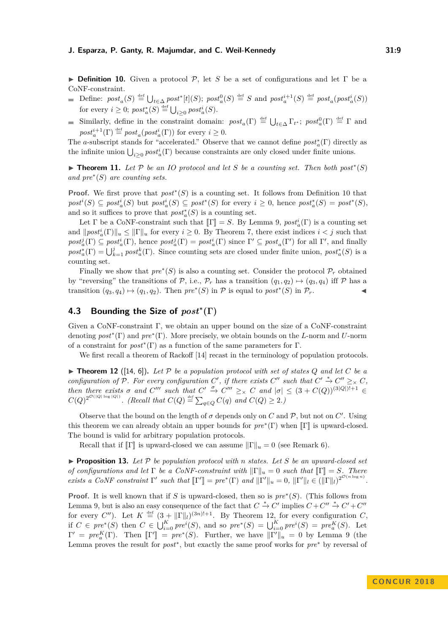<span id="page-8-0"></span>**Definition 10.** Given a protocol  $P$ , let *S* be a set of configurations and let  $\Gamma$  be a CoNF-constraint.

- Define:  $post_a(S) \stackrel{\text{def}}{=} \bigcup_{t \in \Delta} post^*[t](S); post_a^0(S) \stackrel{\text{def}}{=} S \text{ and } post_a^{i+1}(S) \stackrel{\text{def}}{=} post_a(post_a^i(S))$ for every  $i \geq 0$ ;  $post_a^*(S) \stackrel{\text{def}}{=} \bigcup_{i \geq 0} post_a^i(S)$ .
- Similarly, define in the constraint domain:  $post_a(\Gamma) \stackrel{\text{def}}{=} \bigcup_{t \in \Delta} \Gamma_{t^*}$ ;  $post_a^0(\Gamma) \stackrel{\text{def}}{=} \Gamma$  and  $post_a^{i+1}(\Gamma) \stackrel{\text{def}}{=} post_a (post_a^i(\Gamma))$  for every  $i \geq 0$ .

The *a*-subscript stands for "accelerated." Observe that we cannot define  $post^*_{a}(\Gamma)$  directly as the infinite union  $\bigcup_{i\geq 0} post_a^i(\Gamma)$  because constraints are only closed under finite unions.

**► Theorem 11.** Let  $P$  be an IO protocol and let  $S$  be a counting set. Then both post<sup>\*</sup>(S) *and pre*<sup>∗</sup> (*S*) *are counting sets.*

**Proof.** We first prove that  $post*(S)$  is a counting set. It follows from Definition [10](#page-8-0) that  $post^i(S) \subseteq post^i_a(S)$  but  $post^i_a(S) \subseteq post^*(S)$  for every  $i \geq 0$ , hence  $post^*_a(S) = post^*(S)$ , and so it suffices to prove that  $post_a^*(S)$  is a counting set.

Let  $\Gamma$  be a CoNF-constraint such that  $[\![\Gamma]\!] = S$ . By Lemma [9,](#page-7-1)  $post_a^i(\Gamma)$  is a counting set and  $\|post_a^i(\Gamma)\|_u \leq \|\Gamma\|_u$  for every  $i \geq 0$ . By Theorem [7,](#page-5-0) there exist indices  $i < j$  such that  $post_a^j(\Gamma) \subseteq post_a^i(\Gamma)$ , hence  $post_a^j(\Gamma) = post_a^i(\Gamma)$  since  $\Gamma' \subseteq post_a(\Gamma')$  for all  $\Gamma'$ , and finally  $post_a^*(\Gamma) = \bigcup_{k=1}^j post_a^k(\Gamma)$ . Since counting sets are closed under finite union,  $post_a^*(S)$  is a counting set.

Finally we show that  $pre^*(S)$  is also a counting set. Consider the protocol  $\mathcal{P}_r$  obtained by "reversing" the transitions of P, i.e.,  $\mathcal{P}_r$  has a transition  $(q_1, q_2) \mapsto (q_3, q_4)$  iff P has a transition  $(q_3, q_4) \mapsto (q_1, q_2)$ . Then  $pre^*(S)$  in  $P$  is equal to  $post^*(S)$  in  $P_r$ .

## **4.3 Bounding the Size of** *post***<sup>∗</sup> (Γ)**

Given a CoNF-constraint  $\Gamma$ , we obtain an upper bound on the size of a CoNF-constraint denoting *post*<sup>∗</sup> (Γ) and *pre*<sup>∗</sup> (Γ). More precisely, we obtain bounds on the *L*-norm and *U*-norm of a constraint for  $post^*(\Gamma)$  as a function of the same parameters for  $\Gamma$ .

We first recall a theorem of Rackoff [\[14\]](#page-15-10) recast in the terminology of population protocols.

<span id="page-8-1"></span> $\triangleright$  **Theorem 12** ([\[14,](#page-15-10) [6\]](#page-15-11)). Let P be a population protocol with set of states Q and let C be a *configuration of*  $\overline{P}$ *. For every configuration*  $C'$ *, if there exists*  $C''$  *such that*  $C' \stackrel{*}{\rightarrow} C'' \geq_{\times} C$ *, then there exists*  $\sigma$  *and*  $C'''$  *such that*  $C' \stackrel{\sigma}{\to} C''' \geq_{\times} C$  *and*  $|\sigma| \leq (3 + C(Q))^{(3|Q|)!+1} \in$  $C(Q)^{2^{O(|Q|\log|Q|)}}$ . (Recall that  $C(Q) \stackrel{\text{def}}{=} \sum_{q \in Q} C(q)$  and  $C(Q) \geq 2$ .)

Observe that the bound on the length of  $\sigma$  depends only on *C* and  $\mathcal{P}$ , but not on *C'*. Using this theorem we can already obtain an upper bounds for  $pre^*(\Gamma)$  when  $[\![\Gamma]\!]$  is upward-closed.<br>The harm is unlident white we condition pattecks The bound is valid for arbitrary population protocols.

Recall that if  $\llbracket \Gamma \rrbracket$  is upward-closed we can assume  $\llbracket \Gamma \rrbracket_u = 0$  (see Remark [6\)](#page-5-1).

<span id="page-8-2"></span> $\triangleright$  **Proposition 13.** Let  $\mathcal{P}$  be population protocol with n states. Let  $S$  be an upward-closed set *of configurations and let*  $\Gamma$  *be a CoNF-constraint with*  $\|\Gamma\|_u = 0$  *such that*  $\Gamma\Gamma = S$ *. There exists a CoNF constraint*  $\Gamma'$  *such that*  $[\Gamma'] = pre^*(\Gamma)$  *and*  $||\Gamma'||_u = 0$ ,  $||\Gamma'||_l \in (||\Gamma||_l)^{2^{\mathcal{O}(n \log n)}}$ .

**Proof.** It is well known that if *S* is upward-closed, then so is *pre*<sup>∗</sup> (*S*). (This follows from Lemma [9,](#page-7-1) but is also an easy consequence of the fact that  $C \stackrel{*}{\to} C'$  implies  $C + C'' \stackrel{*}{\to} C' + C''$ for every *C*<sup>*n*</sup>). Let  $K \stackrel{\text{def}}{=} (3 + ||\Gamma||_l)^{(3n)!+1}$ . By Theorem [12,](#page-8-1) for every configuration *C*, if  $C \in pre^*(S)$  then  $C \in \bigcup_{i=0}^K pre^i(S)$ , and so  $pre^*(S) = \bigcup_{i=0}^K pre^i(S) = pre^K_{\alpha}(S)$ . Let  $\Gamma' = pre_{a}^{K}(\Gamma)$ . Then  $\llbracket \Gamma' \rrbracket = pre^{*}(S)$ . Further, we have  $\llbracket \Gamma' \rrbracket_{u} = 0$  by Lemma [9](#page-7-1) (the Lemma proves the result for *post*<sup>∗</sup> , but exactly the same proof works for *pre*<sup>∗</sup> by reversal of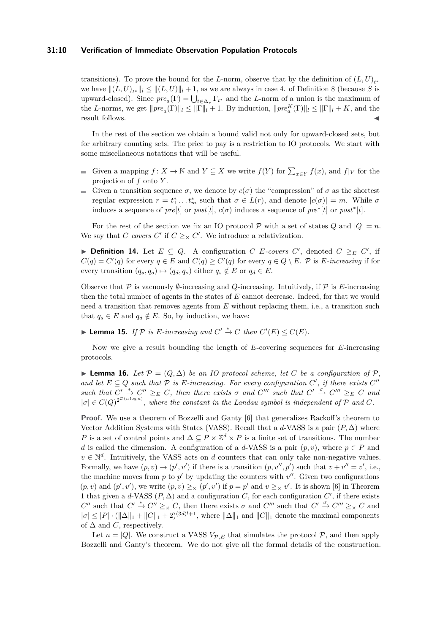### **31:10 Verification of Immediate Observation Population Protocols**

transitions). To prove the bound for the *L*-norm, observe that by the definition of  $(L, U)_{t^*}$ we have  $||(L, U)_{t^*}||_l \leq ||(L, U)||_l + 1$ , as we are always in case 4. of Definition [8](#page-7-2) (because *S* is upward-closed). Since  $pre_a(\Gamma) = \bigcup_{t \in \Delta_r} \Gamma_{t^*}$  and the *L*-norm of a union is the maximum of the *L*-norms, we get  $||pre_a(\Gamma)||_l \leq ||\Gamma||_l + 1$ . By induction,  $||pre_a^K(\Gamma)||_l \leq ||\Gamma||_l + K$ , and the result follows.

In the rest of the section we obtain a bound valid not only for upward-closed sets, but for arbitrary counting sets. The price to pay is a restriction to IO protocols. We start with some miscellaneous notations that will be useful.

- Given a mapping  $f: X \to \mathbb{N}$  and  $Y \subseteq X$  we write  $f(Y)$  for  $\sum_{x \in Y} f(x)$ , and  $f|_Y$  for the projection of *f* onto *Y* .
- Given a transition sequence  $\sigma$ , we denote by  $c(\sigma)$  the "compression" of  $\sigma$  as the shortest regular expression  $r = t_1^* \dots t_m^*$  such that  $\sigma \in L(r)$ , and denote  $|c(\sigma)| = m$ . While  $\sigma$ induces a sequence of  $pre[t]$  or  $post[t]$ ,  $c(\sigma)$  induces a sequence of  $pre^*[t]$  or  $post^*[t]$ .

For the rest of the section we fix an IO protocol  $P$  with a set of states  $Q$  and  $|Q| = n$ . We say that *C* covers  $C'$  if  $C \geq_{\times} C'$ . We introduce a relativization.

▶ **Definition 14.** Let  $E \subseteq Q$ . A configuration *C E-covers C'*, denoted  $C \geq_{E} C'$ , if  $C(q) = C'(q)$  for every  $q \in E$  and  $C(q) \ge C'(q)$  for every  $q \in Q \setminus E$ . P is *E-increasing* if for every transition  $(q_s, q_o) \mapsto (q_d, q_o)$  either  $q_s \notin E$  or  $q_d \in E$ .

Observe that  $\mathcal P$  is vacuously  $\emptyset$ -increasing and *Q*-increasing. Intuitively, if  $\mathcal P$  is *E*-increasing then the total number of agents in the states of *E* cannot decrease. Indeed, for that we would need a transition that removes agents from *E* without replacing them, i.e., a transition such that  $q_s \in E$  and  $q_d \notin E$ . So, by induction, we have:

<span id="page-9-0"></span>▶ **Lemma 15.** *If*  $P$  *is E*-increasing and  $C' \stackrel{*}{\to} C$  *then*  $C'(E) \leq C(E)$ *.* 

Now we give a result bounding the length of *E*-covering sequences for *E*-increasing protocols.

<span id="page-9-1"></span>**► Lemma 16.** Let  $\mathcal{P} = (Q, \Delta)$  be an IO protocol scheme, let C be a configuration of P, *and let*  $E \subseteq Q$  *such that*  $P$  *is*  $E$ *-increasing. For every configuration*  $C'$ , *if there exists*  $C''$  $Such that C' \stackrel{*}{\rightarrow} C'' \geq_{E} C$ , then there exists  $\sigma$  and  $C'''$  such that  $C' \stackrel{\sigma}{\rightarrow} C''' \geq_{E} C$  and  $|\sigma| \in C(Q)^{2^{\mathcal{O}(n \log n)}}$ , where the constant in the Landau symbol is independent of P and C.

**Proof.** We use a theorem of Bozzelli and Ganty [\[6\]](#page-15-11) that generalizes Rackoff's theorem to Vector Addition Systems with States (VASS). Recall that a *d*-VASS is a pair  $(P, \Delta)$  where *P* is a set of control points and  $\Delta \subseteq P \times \mathbb{Z}^d \times P$  is a finite set of transitions. The number *d* is called the dimension. A configuration of a *d*-VASS is a pair  $(p, v)$ , where  $p \in P$  and  $v \in \mathbb{N}^d$ . Intuitively, the VASS acts on *d* counters that can only take non-negative values. Formally, we have  $(p, v) \rightarrow (p', v')$  if there is a transition  $(p, v'', p')$  such that  $v + v'' = v'$ , i.e., the machine moves from  $p$  to  $p'$  by updating the counters with  $v''$ . Given two configurations  $(p, v)$  and  $(p', v')$ , we write  $(p, v) \geq_{\times} (p', v')$  if  $p = p'$  and  $v \geq_{\times} v'$ . It is shown [\[6\]](#page-15-11) in Theorem 1 that given a *d*-VASS  $(P, \Delta)$  and a configuration *C*, for each configuration *C'*, if there exists *C*<sup>"</sup> such that  $C' \stackrel{*}{\to} C'' \geq_{\times} C$ , then there exists  $\sigma$  and  $C'''$  such that  $C' \stackrel{\sigma}{\to} C''' \geq_{\times} C$  and  $|\sigma| \leq |P| \cdot (||\Delta||_1 + ||C||_1 + 2)^{(3d)!+1}$ , where  $||\Delta||_1$  and  $||C||_1$  denote the maximal components of  $\Delta$  and *C*, respectively.

Let  $n = |Q|$ . We construct a VASS  $V_{\mathcal{P},E}$  that simulates the protocol  $\mathcal{P}$ , and then apply Bozzelli and Ganty's theorem. We do not give all the formal details of the construction.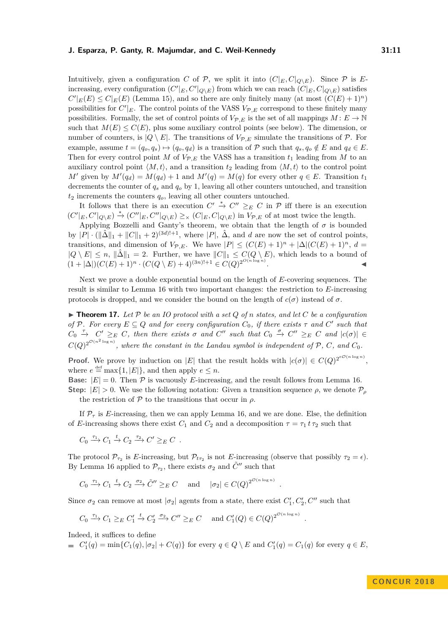Intuitively, given a configuration *C* of  $\mathcal{P}$ , we split it into  $(C|_E, C|_{Q\setminus E})$ . Since  $\mathcal{P}$  is *E*increasing, every configuration  $(C'|_E, C'|_{Q\setminus E})$  from which we can reach  $(C|_E, C|_{Q\setminus E})$  satisfies  $C'|_E(E) \leq C|_E(E)$  (Lemma [15\)](#page-9-0), and so there are only finitely many (at most  $(C(E) + 1)^n$ ) possibilities for  $C'|_E$ . The control points of the VASS  $V_{\mathcal{P},E}$  correspond to these finitely many possibilities. Formally, the set of control points of  $V_{\mathcal{P},E}$  is the set of all mappings  $M: E \to \mathbb{N}$ such that  $M(E) \leq C(E)$ , plus some auxiliary control points (see below). The dimension, or number of counters, is  $|Q \setminus E|$ . The transitions of  $V_{\mathcal{P},E}$  simulate the transitions of  $\mathcal{P}$ . For example, assume  $t = (q_o, q_s) \mapsto (q_o, q_d)$  is a transition of P such that  $q_s, q_o \notin E$  and  $q_d \in E$ . Then for every control point *M* of  $V_{\mathcal{P},E}$  the VASS has a transition  $t_1$  leading from *M* to an auxiliary control point  $\langle M, t \rangle$ , and a transition  $t_2$  leading from  $\langle M, t \rangle$  to the control point *M*<sup> $\prime$ </sup> given by  $M'(q_d) = M(q_d) + 1$  and  $M'(q) = M(q)$  for every other  $q \in E$ . Transition  $t_1$ decrements the counter of  $q_s$  and  $q_o$  by 1, leaving all other counters untouched, and transition  $t_2$  increments the counters  $q_o$ , leaving all other counters untouched.

It follows that there is an execution  $C' \stackrel{*}{\to} C'' \geq_E C$  in  $\mathcal P$  iff there is an execution  $(C'|_E, C'|_{Q\setminus E}) \stackrel{*}{\to} (C''|_E, C''|_{Q\setminus E}) \geq \langle C|_E, C|_{Q\setminus E}$  in  $V_{\mathcal{P},E}$  of at most twice the length.

Applying Bozzelli and Ganty's theorem, we obtain that the length of  $\sigma$  is bounded by  $|P| \cdot (\|\hat{\Delta}\|_1 + \|C\|_1 + 2)^{(3d)!+1}$ , where  $|P|$ ,  $\hat{\Delta}$ , and *d* are now the set of control points, transitions, and dimension of  $V_{\mathcal{P},E}$ . We have  $|P| \leq (C(E) + 1)^n + |\Delta|(C(E) + 1)^n$ ,  $d =$  $|Q \setminus E| \leq n$ ,  $\|\hat{\Delta}\|_1 = 2$ . Further, we have  $||C||_1 \leq C(Q \setminus E)$ , which leads to a bound of  $(1 + |\Delta|)(C(E) + 1)^n \cdot (C(Q \setminus E) + 4)^{(3n)!+1} \in C(Q)^{2^{O(n \log n)}}$ .

Next we prove a double exponential bound on the length of *E*-covering sequences. The result is similar to Lemma [16](#page-9-1) with two important changes: the restriction to *E*-increasing protocols is dropped, and we consider the bound on the length of  $c(\sigma)$  instead of  $\sigma$ .

<span id="page-10-0"></span> $\triangleright$  **Theorem 17.** Let P be an IO protocol with a set Q of n states, and let C be a configuration *of* P. For every  $E \subseteq Q$  *and for every configuration*  $C_0$ *, if there exists*  $\tau$  *and*  $C'$  *such that*  $C_0 \rightarrow C' \geq_{E} C$ , then there exists  $\sigma$  and  $C''$  such that  $C_0 \rightarrow C'' \geq_{E} C$  and  $|c(\sigma)| \in$  $C(Q)^{2^{O(n^2 \log n)}}$ , where the constant in the Landau symbol is independent of P, C, and  $C_0$ .

**Proof.** We prove by induction on |*E*| that the result holds with  $|c(\sigma)| \in C(Q)^{2^{eO(n \log n)}}$ , where  $e \stackrel{\text{def}}{=} \max\{1, |E|\}$ , and then apply  $e \leq n$ .

**Base:**  $|E| = 0$ . Then  $\mathcal{P}$  is vacuously *E*-increasing, and the result follows from Lemma [16.](#page-9-1)

**Step:**  $|E| > 0$ . We use the following notation: Given a transition sequence  $\rho$ , we denote  $\mathcal{P}_{\rho}$ the restriction of P to the transitions that occur in *ρ*.

If  $\mathcal{P}_{\tau}$  is *E*-increasing, then we can apply Lemma [16,](#page-9-1) and we are done. Else, the definition of *E*-increasing shows there exist  $C_1$  and  $C_2$  and a decomposition  $\tau = \tau_1 t \tau_2$  such that

 $C_0 \xrightarrow{\tau_1} C_1 \xrightarrow{t} C_2 \xrightarrow{\tau_2} C' \geq_E C$ .

The protocol  $\mathcal{P}_{\tau_2}$  is *E*-increasing, but  $\mathcal{P}_{t\tau_2}$  is not *E*-increasing (observe that possibly  $\tau_2 = \epsilon$ ). By Lemma [16](#page-9-1) applied to  $\mathcal{P}_{\tau_2}$ , there exists  $\sigma_2$  and  $\tilde{C}''$  such that

*.*

*.*

 $C_0 \xrightarrow{\tau_1} C_1 \xrightarrow{t} C_2 \xrightarrow{\sigma_2} \tilde{C}'' \geq_E C$  and  $|\sigma_2| \in C(Q)^{2^{\mathcal{O}(n \log n)}}$ 

Since  $\sigma_2$  can remove at most  $|\sigma_2|$  agents from a state, there exist  $C'_1, C'_2, C''$  such that

$$
C_0 \xrightarrow{\tau_1} C_1 \geq_E C'_1 \xrightarrow{t} C'_2 \xrightarrow{\sigma_2} C'' \geq_E C
$$
 and  $C'_1(Q) \in C(Q)^{2^{\mathcal{O}(n \log n)}}$ 

Indeed, it suffices to define

 $C'_1(q) = \min\{C_1(q), |\sigma_2| + C(q)\}$  for every  $q \in Q \setminus E$  and  $C'_1(q) = C_1(q)$  for every  $q \in E$ ,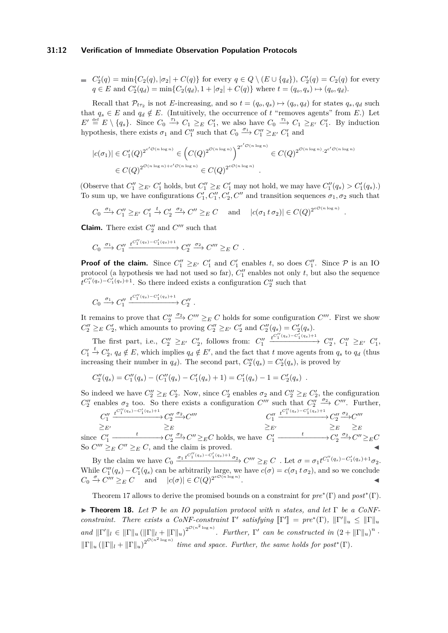#### **31:12 Verification of Immediate Observation Population Protocols**

$$
\begin{aligned}\n& \quad C_2'(q) = \min\{C_2(q), |\sigma_2| + C(q)\} \text{ for every } q \in Q \setminus (E \cup \{q_d\}), \ C_2'(q) = C_2(q) \text{ for every } q \in E \text{ and } C_2'(q_d) = \min\{C_2(q_d), 1 + |\sigma_2| + C(q)\} \text{ where } t = (q_o, q_s) \mapsto (q_o, q_d).\n\end{aligned}
$$

Recall that  $\mathcal{P}_{t\tau_2}$  is not *E*-increasing, and so  $t = (q_o, q_s) \mapsto (q_o, q_d)$  for states  $q_s, q_d$  such that  $q_s \in E$  and  $q_d \notin E$ . (Intuitively, the occurrence of *t* "removes agents" from *E*.) Let  $E' \stackrel{\text{def}}{=} E \setminus \{q_s\}.$  Since  $C_0 \stackrel{\tau_1}{\to} C_1 \geq_E C'_1$ , we also have  $C_0 \stackrel{\tau_1}{\to} C_1 \geq_{E'} C'_1$ . By induction hypothesis, there exists  $\sigma_1$  and  $C_1''$  such that  $C_0 \xrightarrow{\sigma_1} C_1'' \geq_{E'} C_1'$  and

$$
|c(\sigma_1)| \in C_1'(Q)^{2^{e' \mathcal{O}(n \log n)}} \in (C(Q)^{2^{\mathcal{O}(n \log n)}})^{2^{e' \mathcal{O}(n \log n)}} \in C(Q)^{2^{\mathcal{O}(n \log n)} \cdot 2^{e' \mathcal{O}(n \log n)}}
$$
  

$$
\in C(Q)^{2^{\mathcal{O}(n \log n) + e' \mathcal{O}(n \log n)}} \in C(Q)^{2^{e \mathcal{O}(n \log n)}}
$$
.

(Observe that  $C_1'' \geq_{E'} C_1'$  holds, but  $C_1'' \geq_{E} C_1'$  may not hold, we may have  $C_1''(q_s) > C_1'(q_s)$ .) To sum up, we have configurations  $C_1', C_1'', C_2', C''$  and transition sequences  $\sigma_1, \sigma_2$  such that

*.*

$$
C_0 \xrightarrow{\sigma_1} C_1'' \geq_{E'} C_1' \xrightarrow{t} C_2' \xrightarrow{\sigma_2} C'' \geq_{E} C
$$
 and  $|c(\sigma_1 t \sigma_2)| \in C(Q)^{2^{eO(n \log n)}}$ 

**Claim.** There exist  $C_2''$  and  $C'''$  such that

$$
C_0 \xrightarrow{\sigma_1} C_1'' \xrightarrow{t^{C_1''(q_s)-C_1'(q_s)+1}} C_2'' \xrightarrow{\sigma_2} C''' \geq_E C.
$$

**Proof of the claim.** Since  $C_1'' \geq_{E'} C_1'$  and  $C_1'$  enables *t*, so does  $C_1''$ . Since  $P$  is an IO protocol (a hypothesis we had not used so far),  $C_1''$  enables not only  $t$ , but also the sequence  $t^{C''_1(q_s)-C'_1(q_s)+1}$ . So there indeed exists a configuration  $C''_2$  such that

$$
C_0 \xrightarrow{\sigma_1} C_1'' \xrightarrow{t^{C_1''(q_s)-C_1'(q_s)+1}} C_2''.
$$

It remains to prove that  $C_2'' \xrightarrow{\sigma_2} C''' \geq_E C$  holds for some configuration  $C'''$ . First we show  $C''_2 \geq_{E} C'_2$ , which amounts to proving  $C''_2 \geq_{E'} C'_2$  and  $C''_2(q_s) = C'_2(q_s)$ .

The first part, i.e.,  $C_2'' \geq_{E'} C_2'$ , follows from:  $C_1''$  $\xrightarrow{t^{C_1''(q_s)-C_1'(q_s)+1}} C_2'', C_1'' \geq_{E'} C_1',$  $C'_1 \stackrel{t}{\rightarrow} C'_2$ ,  $q_d \notin E$ , which implies  $q_d \notin E'$ , and the fact that *t* move agents from  $q_s$  to  $q_d$  (thus increasing their number in  $q_d$ ). The second part,  $C''_2(q_s) = C'_2(q_s)$ , is proved by

$$
C_2''(q_s) = C_1''(q_s) - (C_1''(q_s) - C_1'(q_s) + 1) = C_1'(q_s) - 1 = C_2'(q_s) .
$$

So indeed we have  $C''_2 \geq_E C'_2$ . Now, since  $C'_2$  enables  $\sigma_2$  and  $C''_2 \geq_E C'_2$ , the configuration  $C_2''$  enables  $\sigma_2$  too. So there exists a configuration  $C'''$  such that  $C_2'' \xrightarrow{\sigma_2} C'''$ . Further,

$$
C_1'' \xrightarrow{t^{C_1''(q_s)-C_1'(q_s)+1}} C_2'' \xrightarrow{\sigma_2} C'''
$$
\n
$$
\geq_E' \qquad \geq_E \qquad \geq_E
$$
\nsince  $C_1' \xrightarrow{t} C_2' \xrightarrow{\sigma_2} C'' \geq_E C'$  holds, we have  $C_1' \xrightarrow{t} C_2' \xrightarrow{\sigma_2} C'' \geq_E C$   
\nSo  $C''' \geq_E C'' \geq_E C$ , and the claim is proved.

By the claim we have  $C_0 \xrightarrow{\sigma_1 t^{C_1''(q_s)-C_1'(q_s)+1} \sigma_2} C''' \geq_E C$ . Let  $\sigma = \sigma_1 t^{C_1''(q_s)-C_1'(q_s)+1} \sigma_2$ . While  $C''_1(q_s) - C'_1(q_s)$  can be arbitrarily large, we have  $c(\sigma) = c(\sigma_1 \, t \, \sigma_2)$ , and so we conclude  $C_0 \xrightarrow{\sigma} C^{\prime\prime\prime} \geq_E C$  and  $|c(\sigma)| \in C(Q)^{2^{e\mathcal{O}(n \log n)}}$ .

Theorem [17](#page-10-0) allows to derive the promised bounds on a constraint for *pre*<sup>∗</sup> (Γ) and *post*<sup>∗</sup> (Γ).

<span id="page-11-0"></span>I **Theorem 18.** *Let* P *be an IO population protocol with n states, and let* Γ *be a CoNFconstraint. There exists a CoNF-constraint*  $\Gamma'$  satisfying  $\llbracket \Gamma' \rrbracket = pre^*(\Gamma)$ ,  $\lVert \Gamma' \rVert_u \leq \lVert \Gamma \rVert_u$ *and*  $\|\Gamma'\|_l \in \|\Gamma\|_u (\|\Gamma\|_l + \|\Gamma\|_u)^{2^{\mathcal{O}(n^2 \log n)}}$ . *Further*,  $\Gamma'$  *can be constructed in*  $(2 + \|\Gamma\|_u)^n$ .  $\|\Gamma\|_u (\|\Gamma\|_l + \|\Gamma\|_u)^{2^{\mathcal{O}(n^2 \log n)}}$  *time and space. Further, the same holds for post*<sup>\*</sup>(Γ)*.*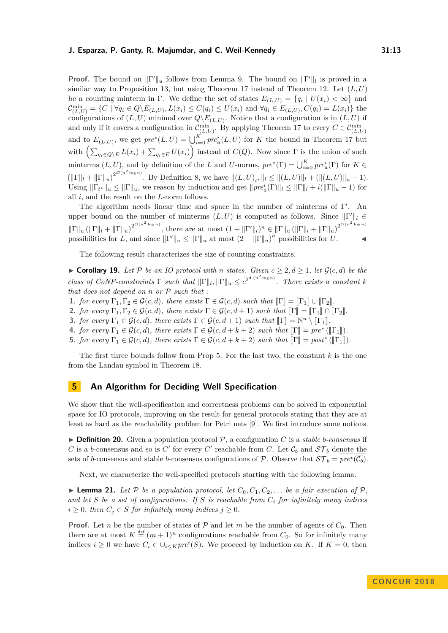**Proof.** The bound on  $\|\Gamma'\|_u$  follows from Lemma [9.](#page-7-1) The bound on  $\|\Gamma'\|_l$  is proved in a similar way to Proposition [13,](#page-8-2) but using Theorem [17](#page-10-0) instead of Theorem [12.](#page-8-1) Let  $(L, U)$ be a counting minterm in Γ. We define the set of states  $E_{(L,U)} = \{q_i \mid U(x_i) < \infty\}$  and  $\mathcal{C}_{(L,U)}^{\min} = \{ C \mid \forall q_i \in Q \setminus E_{(L,U)}, L(x_i) \leq C(q_i) \leq U(x_i) \text{ and } \forall q_i \in E_{(L,U)}, C(q_i) = L(x_i) \}$  the configurations of  $(L, U)$  minimal over  $Q \backslash E_{(L, U)}$ . Notice that a configuration is in  $(L, U)$  if and only if it covers a configuration in  $\mathcal{C}_{(L,U)}^{\min}$ . By applying Theorem [17](#page-10-0) to every  $C \in \mathcal{C}_{(L,U)}^{\min}$ and to  $E_{(L,U)}$ , we get  $pre^*(L, U) = \bigcup_{i=0}^K pre^i_a(L, U)$  for *K* the bound in Theorem [17](#page-10-0) but with  $\left(\sum_{q_i \in Q \setminus E} L(x_i) + \sum_{q_i \in E} U(x_i)\right)$  instead of  $C(Q)$ . Now since  $\Gamma$  is the union of such minterms  $(L, U)$ , and by definition of the *L* and *U*-norms,  $pre^*(\Gamma) = \bigcup_{i=0}^K pre^i_a(\Gamma)$  for  $K \in$  $(\|\Gamma\|_l + \|\Gamma\|_u)^{2^{\mathcal{O}(n^2 \log n)}}$ . By Definition [8,](#page-7-2) we have  $\|(L, U)_{t^*}\|_l \leq \|(L, U)\|_l + (\|(L, U)\|_u - 1)$ . Using  $\|\Gamma_{t^*}\|_u \le \|\Gamma\|_u$ , we reason by induction and get  $\|pre_a^i(\Gamma)\|_l \le \|\Gamma\|_l + i(\|\Gamma\|_u - 1)$  for all *i*, and the result on the *L*-norm follows.

The algorithm needs linear time and space in the number of minterms of  $\Gamma'$ . An upper bound on the number of minterms  $(L, U)$  is computed as follows. Since  $\|\Gamma'\|_{l} \in$  $\|\Gamma\|_u (\|\Gamma\|_l + \|\Gamma\|_u)^{2^{\mathcal{O}(n^2 \log n)}}$ , there are at most  $(1 + \|\Gamma'\|_l)^n \in \|\Gamma\|_u (\|\Gamma\|_l + \|\Gamma\|_u)^{2^{\mathcal{O}(n^2 \log n)}}$ possibilities for *L*, and since  $||\Gamma'||_u \le ||\Gamma||_u$  at most  $(2 + ||\Gamma||_u)^n$  possibilities for *U*.

The following result characterizes the size of counting constraints.

<span id="page-12-2"></span>▶ **Corollary 19.** *Let*  $\mathcal{P}$  *be an IO protocol with n states. Given*  $c \geq 2, d \geq 1$ *, let*  $\mathcal{G}(c, d)$  *be the class of CoNF-constraints*  $\Gamma$  *such that*  $\|\Gamma\|_{l}$ ,  $\|\Gamma\|_{u} \leq c^{2^{d \cdot (n^{2} \log n)}}$ . There exists a constant *k that does not depend on n or* P *such that :*

**1.** *for every*  $\Gamma_1, \Gamma_2 \in \mathcal{G}(c, d)$ *, there exists*  $\Gamma \in \mathcal{G}(c, d)$  *such that*  $\lbrack \Gamma \rbrack = \lbrack \Gamma_1 \rbrack \cup \lbrack \Gamma_2 \rbrack$ *.* 

**2.** *for every*  $\Gamma_1, \Gamma_2 \in \mathcal{G}(c,d)$ *, there exists*  $\Gamma \in \mathcal{G}(c,d+1)$  *such that*  $\llbracket \Gamma \rrbracket = \llbracket \Gamma_1 \rrbracket \cap \llbracket \Gamma_2 \rrbracket$ *.* 

**3.** *for every*  $\Gamma_1 \in \mathcal{G}(c, d)$ *, there exists*  $\Gamma \in \mathcal{G}(c, d+1)$  *such that*  $\llbracket \Gamma \rrbracket = \mathbb{N}^n \setminus \llbracket \Gamma_1 \rrbracket$ .

**4.** *for every*  $\Gamma_1 \in \mathcal{G}(c, d)$ *, there exists*  $\Gamma \in \mathcal{G}(c, d + k + 2)$  *such that*  $[\![\Gamma]\!] = pre^*([\![\Gamma_1]\!])$ .<br> **5.** *for every*  $\Gamma_2 \in \mathcal{C}(c, d)$ , there exists  $\Gamma \in \mathcal{C}(c, d + k + 2)$  and that  $[\![\Gamma]\!] = \text{post}^*([\![\Gamma_1]\!])$ .

**5.** *for every*  $\Gamma_1 \in \mathcal{G}(c,d)$ *, there exists*  $\Gamma \in \mathcal{G}(c,d+k+2)$  *such that*  $[\![\Gamma]\!] = \text{post}^*([\![\Gamma_1]\!])$ *.* 

The first three bounds follow from Prop [5.](#page-5-2) For the last two, the constant *k* is the one from the Landau symbol in Theorem [18.](#page-11-0)

## **5 An Algorithm for Deciding Well Specification**

We show that the well-specification and correctness problems can be solved in exponential space for IO protocols, improving on the result for general protocols stating that they are at least as hard as the reachability problem for Petri nets [\[9\]](#page-15-5). We first introduce some notions.

<span id="page-12-0"></span> $\triangleright$  **Definition 20.** Given a population protocol  $\mathcal{P}$ , a configuration *C* is a *stable b-consensus* if *C* is a *b*-consensus and so is *C*<sup> $\prime$ </sup> for every *C*<sup> $\prime$ </sup> reachable from *C*. Let  $\mathcal{C}_b$  and  $\mathcal{ST}_b$  denote the sets of *b*-consensus and stable *b*-consensus configurations of P. Observe that  $ST_b = pre*(\overline{\mathcal{C}_b})$ .

Next, we characterize the well-specified protocols starting with the following lemma.

<span id="page-12-1"></span> $\blacktriangleright$  **Lemma 21.** Let P be a population protocol, let  $C_0, C_1, C_2, \ldots$  be a fair execution of P, *and let S be a set of configurations. If S is reachable from C<sup>i</sup> for infinitely many indices*  $i \geq 0$ *, then*  $C_j \in S$  *for infinitely many indices*  $j \geq 0$ *.* 

**Proof.** Let *n* be the number of states of  $P$  and let *m* be the number of agents of  $C_0$ . Then there are at most  $K \stackrel{\text{def}}{=} (m+1)^n$  configurations reachable from  $C_0$ . So for infinitely many indices  $i \geq 0$  we have  $C_i \in \bigcup_{i \leq K} pre^i(S)$ . We proceed by induction on *K*. If  $K = 0$ , then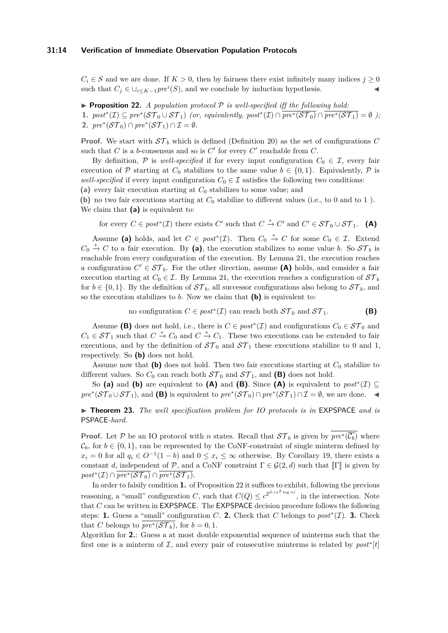$C_i \in S$  and we are done. If  $K > 0$ , then by fairness there exist infinitely many indices  $j \geq 0$ such that  $C_j \in \bigcup_{i \leq K-1} pre^i(S)$ , and we conclude by induction hypothesis.

<span id="page-13-0"></span> $\triangleright$  **Proposition 22.** *A population protocol*  $\mathcal{P}$  *is well-specified iff the following hold:* 1.  $post^*(\mathcal{I}) \subseteq pre^*(\mathcal{ST}_0 \cup \mathcal{ST}_1)$  *(or, equivalently, post*\* $(\mathcal{I}) \cap \overline{pre^*(\mathcal{ST}_0)} \cap \overline{pre^*(\mathcal{ST}_1)} = \emptyset$ ); 2.  $pre^*(\mathcal{ST}_0) \cap pre^*(\mathcal{ST}_1) \cap \mathcal{I} = \emptyset$ .

**Proof.** We start with  $ST_b$  which is defined (Definition [20\)](#page-12-0) as the set of configurations C such that  $C$  is a *b*-consensus and so is  $C'$  for every  $C'$  reachable from  $C$ .

By definition,  $\mathcal{P}$  is *well-specified* if for every input configuration  $C_0 \in \mathcal{I}$ , every fair execution of  $P$  starting at  $C_0$  stabilizes to the same value  $b \in \{0,1\}$ . Equivalently,  $P$  is *well-specified* if every input configuration  $C_0 \in \mathcal{I}$  satisfies the following two conditions:

**(a)** every fair execution starting at *C*<sup>0</sup> stabilizes to some value; and

**(b)** no two fair executions starting at *C*<sup>0</sup> stabilize to different values (i.e., to 0 and to 1 ). We claim that **(a)** is equivalent to:

for every  $C \in post^*(\mathcal{I})$  there exists  $C'$  such that  $C \stackrel{*}{\to} C'$  and  $C' \in \mathcal{ST}_0 \cup \mathcal{ST}_1$ . (A)

Assume (a) holds, and let  $C \in post^*(\mathcal{I})$ . Then  $C_0 \stackrel{*}{\to} C$  for some  $C_0 \in \mathcal{I}$ . Extend  $C_0$   $\stackrel{*}{\rightarrow} C$  to a fair execution. By (a), the execution stabilizes to some value *b*. So  $S\mathcal{T}_b$  is reachable from every configuration of the execution. By Lemma [21,](#page-12-1) the execution reaches a configuration  $C' \in \mathcal{ST}_b$ . For the other direction, assume **(A)** holds, and consider a fair execution starting at  $C_0 \in \mathcal{I}$ . By Lemma [21,](#page-12-1) the execution reaches a configuration of  $\mathcal{ST}_b$ for  $b \in \{0,1\}$ . By the definition of  $ST_b$ , all successor configurations also belong to  $ST_b$ , and so the execution stabilizes to *b*. Now we claim that **(b)** is equivalent to:

no configuration  $C \in post^*(\mathcal{I})$  can reach both  $ST_0$  and  $ST_1$ . **(B)** 

Assume (B) does not hold, i.e., there is  $C \in post^*(\mathcal{I})$  and configurations  $C_0 \in \mathcal{ST}_0$  and  $C_1 \in \mathcal{ST}_1$  such that  $C \stackrel{*}{\to} C_0$  and  $C \stackrel{*}{\to} C_1$ . These two executions can be extended to fair executions, and by the definition of  $ST_0$  and  $ST_1$  these executions stabilize to 0 and 1, respectively. So **(b)** does not hold.

Assume now that  $(b)$  does not hold. Then two fair executions starting at  $C_0$  stabilize to different values. So  $C_0$  can reach both  $ST_0$  and  $ST_1$ , and **(B)** does not hold.

So (a) and (b) are equivalent to (A) and (B). Since (A) is equivalent to  $post^*(\mathcal{I}) \subseteq$ *pre*<sup>∗</sup>( $S\mathcal{T}_0 \cup S\mathcal{T}_1$ ), and (B) is equivalent to  $pre^*(S\mathcal{T}_0) \cap pre^*(S\mathcal{T}_1) \cap \mathcal{I} = \emptyset$ , we are done.  $\blacktriangleleft$ 

<span id="page-13-1"></span>▶ **Theorem 23.** *The well specification problem for IO protocols is in* EXPSPACE *and is* PSPACE*-hard.*

**Proof.** Let P be an IO protocol with *n* states. Recall that  $ST_b$  is given by  $pre^*(\overline{\mathcal{C}_b})$  where  $\mathcal{C}_b$ , for  $b \in \{0,1\}$ , can be represented by the CoNF-constraint of single minterm defined by  $x_i = 0$  for all  $q_i \in O^{-1}(1 - b)$  and  $0 \le x_i \le \infty$  otherwise. By Corollary [19,](#page-12-2) there exists a constant *d*, independent of P, and a CoNF constraint  $\Gamma \in \mathcal{G}(2,d)$  such that  $\llbracket \Gamma \rrbracket$  is given by  $post^*(\mathcal{I}) \cap \overline{pre^*(\mathcal{ST}_0)} \cap \overline{pre^*(\mathcal{ST}_1)}.$ 

In order to falsify condition **1.** of Proposition [22](#page-13-0) it suffices to exhibit, following the previous reasoning, a "small" configuration *C*, such that  $C(Q) \leq c^{2^{d \cdot (n^2 \log n)}}$ , in the intersection. Note that *C* can be written in EXPSPACE. The EXPSPACE decision procedure follows the following steps: **1.** Guess a "small" configuration *C*. **2.** Check that *C* belongs to  $post^*(\mathcal{I})$ . **3.** Check that *C* belongs to  $\overline{pre^*(\mathcal{ST}_b)}$ , for  $b=0,1$ .

Algorithm for **2.**: Guess a at most double exponential sequence of minterms such that the first one is a minterm of  $I$ , and every pair of consecutive minterms is related by  $post^*[t]$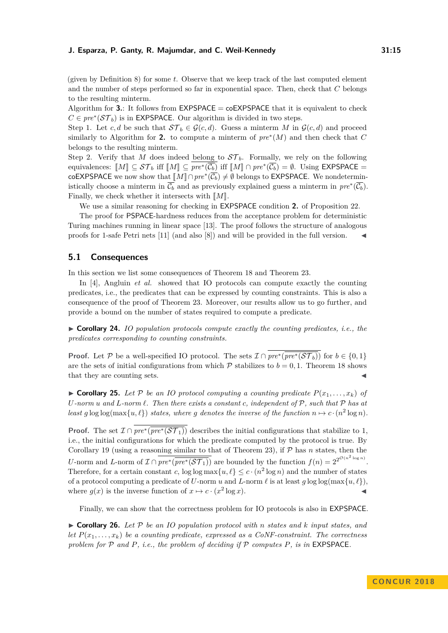(given by Definition [8\)](#page-7-2) for some *t*. Observe that we keep track of the last computed element and the number of steps performed so far in exponential space. Then, check that *C* belongs to the resulting minterm.

Algorithm for **3.**: It follows from  $EXPSPACE = coEXPSPACE$  that it is equivalent to check  $C \in pre^*(ST_b)$  is in EXPSPACE. Our algorithm is divided in two steps.

Step 1. Let *c, d* be such that  $S\mathcal{T}_b \in \mathcal{G}(c,d)$ . Guess a minterm *M* in  $\mathcal{G}(c,d)$  and proceed similarly to Algorithm for 2. to compute a minterm of  $pre^*(M)$  and then check that  $C$ belongs to the resulting minterm.

Step 2. Verify that *M* does indeed belong to  $ST_b$ . Formally, we rely on the following equivalences:  $\llbracket M \rrbracket \subseteq \mathcal{ST}_b$  iff  $\llbracket M \rrbracket \subseteq pre^*(\overline{\mathcal{C}_b})$  iff  $\llbracket M \rrbracket \cap pre^*(\overline{\mathcal{C}_b}) = \emptyset$ . Using EXPSPACE = coEXPSPACE we now show that  $\llbracket M \rrbracket \cap pre^*(\overline{\mathcal{C}_b}) \neq \emptyset$  belongs to EXPSPACE. We nondetermin-<br>intime like the set of writtens in  $\overline{\mathcal{C}}$  and as massimals surprised were a wintens in  $m^*(\overline{\mathcal{C}})$ istically choose a minterm in  $\overline{\mathcal{C}_b}$  and as previously explained guess a minterm in  $\text{pre}^*(\overline{\mathcal{C}_b})$ . Finally, we check whether it intersects with  $\llbracket M \rrbracket$ .

We use a similar reasoning for checking in EXPSPACE condition **2.** of Proposition [22.](#page-13-0)

The proof for PSPACE-hardness reduces from the acceptance problem for deterministic Turing machines running in linear space [\[13\]](#page-15-12). The proof follows the structure of analogous proofs for 1-safe Petri nets [\[11\]](#page-15-13) (and also [\[8\]](#page-15-14)) and will be provided in the full version. J

## **5.1 Consequences**

In this section we list some consequences of Theorem [18](#page-11-0) and Theorem [23.](#page-13-1)

In [\[4\]](#page-15-7), Angluin *et al.* showed that IO protocols can compute exactly the counting predicates, i.e., the predicates that can be expressed by counting constraints. This is also a consequence of the proof of Theorem [23.](#page-13-1) Moreover, our results allow us to go further, and provide a bound on the number of states required to compute a predicate.

 $\triangleright$  **Corollary 24.** *IO population protocols compute exactly the counting predicates, i.e., the predicates corresponding to counting constraints.*

**Proof.** Let P be a well-specified IO protocol. The sets  $\mathcal{I} \cap pre^*(\overline{pre^*(\mathcal{ST}_b)})$  for  $b \in \{0,1\}$ are the sets of initial configurations from which  $P$  stabilizes to  $b = 0, 1$ . Theorem [18](#page-11-0) shows that they are counting sets.

 $\triangleright$  **Corollary 25.** Let P be an IO protocol computing a counting predicate  $P(x_1, \ldots, x_k)$  of  $U$ *-norm*  $u$  and  $L$ *-norm*  $\ell$ *. Then there exists a constant*  $c$ *, independent* of  $P$ *, such that*  $P$  *has at least*  $g \log \log(\max\{u, \ell\})$  *states, where*  $g$  *denotes the inverse of the function*  $n \mapsto c \cdot (n^2 \log n)$ *.* 

**Proof.** The set  $\mathcal{I} \cap pre^*(\overline{pre^*(\mathcal{ST}_1)})$  describes the initial configurations that stabilize to 1, i.e., the initial configurations for which the predicate computed by the protocol is true. By Corollary [19](#page-12-2) (using a reasoning similar to that of Theorem [23\)](#page-13-1), if P has *n* states, then the *U*-norm and *L*-norm of  $\mathcal{I} \cap \overline{pre^*(\overline{pre^*(\mathcal{ST}_1)})}$  are bounded by the function  $f(n) = 2^{2^{\mathcal{O}(n^2 \log n)}}$ . Therefore, for a certain constant *c*,  $\log \log \max\{u, \ell\} \leq c \cdot (n^2 \log n)$  and the number of states of a protocol computing a predicate of *U*-norm *u* and *L*-norm  $\ell$  is at least  $q \log \log(\max\{u, \ell\})$ , where  $g(x)$  is the inverse function of  $x \mapsto c \cdot (x^2 \log x)$ .

Finally, we can show that the correctness problem for IO protocols is also in EXPSPACE.

 $\triangleright$  **Corollary 26.** Let P be an IO population protocol with *n* states and *k* input states, and *let*  $P(x_1, \ldots, x_k)$  *be a counting predicate, expressed as a CoNF-constraint. The correctness problem for* P *and P, i.e., the problem of deciding if* P *computes P, is in* EXPSPACE*.*